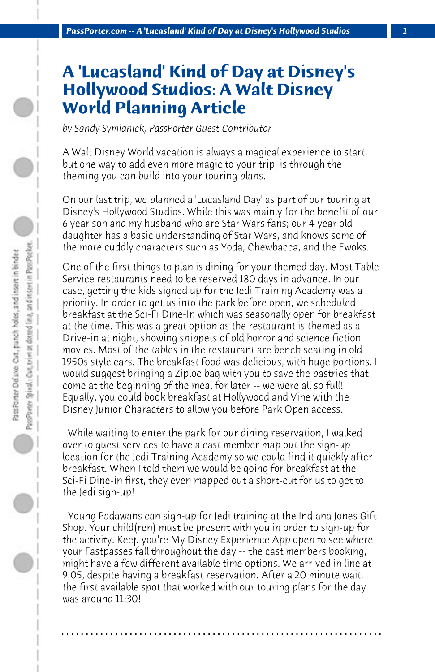## **A 'Lucasland' Kind of Day at Disney's Hollywood Studios: A Walt Disney World Planning Article**

*by Sandy Symianick, PassPorter Guest Contributor*

A Walt Disney World vacation is always a magical experience to start, but one way to add even more magic to your trip, is through the theming you can build into your touring plans.

On our last trip, we planned a 'Lucasland Day' as part of our touring at Disney's Hollywood Studios. While this was mainly for the benefit of our 6 year son and my husband who are Star Wars fans; our 4 year old daughter has a basic understanding of Star Wars, and knows some of the more cuddly characters such as Yoda, Chewbacca, and the Ewoks.

One of the first things to plan is dining for your themed day. Most Table Service restaurants need to be reserved 180 days in advance. In our case, getting the kids signed up for the Jedi Training Academy was a priority. In order to get us into the park before open, we scheduled breakfast at the Sci-Fi Dine-In which was seasonally open for breakfast at the time. This was a great option as the restaurant is themed as a Drive-in at night, showing snippets of old horror and science fiction movies. Most of the tables in the restaurant are bench seating in old 1950s style cars. The breakfast food was delicious, with huge portions. I would suggest bringing a Ziploc bag with you to save the pastries that come at the beginning of the meal for later -- we were all so full! Equally, you could book breakfast at Hollywood and Vine with the Disney Junior Characters to allow you before Park Open access.

 While waiting to enter the park for our dining reservation, I walked over to guest services to have a cast member map out the sign-up location for the Jedi Training Academy so we could find it quickly after breakfast. When I told them we would be going for breakfast at the Sci-Fi Dine-in first, they even mapped out a short-cut for us to get to the Jedi sign-up!

 Young Padawans can sign-up for Jedi training at the Indiana Jones Gift Shop. Your child(ren) must be present with you in order to sign-up for the activity. Keep you're My Disney Experience App open to see where your Fastpasses fall throughout the day -- the cast members booking, might have a few different available time options. We arrived in line at 9:05, despite having a breakfast reservation. After a 20 minute wait, the first available spot that worked with our touring plans for the day was around 11:30!

**. . . . . . . . . . . . . . . . . . . . . . . . . . . . . . . . . . . . . . . . . . . . . . . . . . . . . . . . . . . . . . . . . .**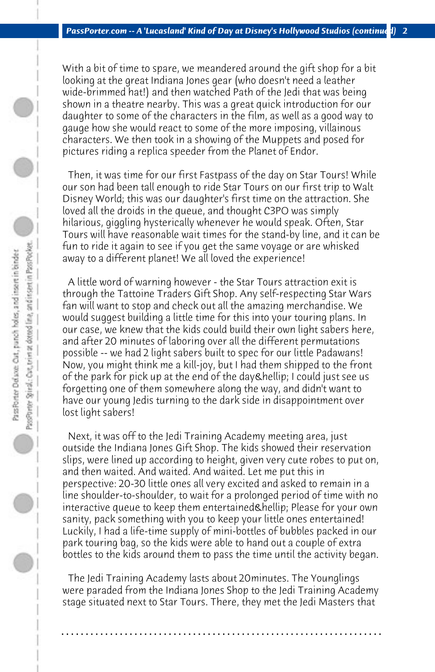With a bit of time to spare, we meandered around the gift shop for a bit looking at the great Indiana Jones gear (who doesn't need a leather wide-brimmed hat!) and then watched Path of the Jedi that was being shown in a theatre nearby. This was a great quick introduction for our daughter to some of the characters in the film, as well as a good way to gauge how she would react to some of the more imposing, villainous characters. We then took in a showing of the Muppets and posed for pictures riding a replica speeder from the Planet of Endor.

 Then, it was time for our first Fastpass of the day on Star Tours! While our son had been tall enough to ride Star Tours on our first trip to Walt Disney World; this was our daughter's first time on the attraction. She loved all the droids in the queue, and thought C3PO was simply hilarious, giggling hysterically whenever he would speak. Often, Star Tours will have reasonable wait times for the stand-by line, and it can be fun to ride it again to see if you get the same voyage or are whisked away to a different planet! We all loved the experience!

 A little word of warning however - the Star Tours attraction exit is through the Tattoine Traders Gift Shop. Any self-respecting Star Wars fan will want to stop and check out all the amazing merchandise. We would suggest building a little time for this into your touring plans. In our case, we knew that the kids could build their own light sabers here, and after 20 minutes of laboring over all the different permutations possible -- we had 2 light sabers built to spec for our little Padawans! Now, you might think me a kill-joy, but I had them shipped to the front of the park for pick up at the end of the day & hellip; I could just see us forgetting one of them somewhere along the way, and didn't want to have our young Jedis turning to the dark side in disappointment over lost light sabers!

 Next, it was off to the Jedi Training Academy meeting area, just outside the Indiana Jones Gift Shop. The kids showed their reservation slips, were lined up according to height, given very cute robes to put on, and then waited. And waited. And waited. Let me put this in perspective: 20-30 little ones all very excited and asked to remain in a line shoulder-to-shoulder, to wait for a prolonged period of time with no interactive queue to keep them entertained & hellip; Please for your own sanity, pack something with you to keep your little ones entertained! Luckily, I had a life-time supply of mini-bottles of bubbles packed in our park touring bag, so the kids were able to hand out a couple of extra bottles to the kids around them to pass the time until the activity began.

 The Jedi Training Academy lasts about 20minutes. The Younglings were paraded from the Indiana Jones Shop to the Jedi Training Academy stage situated next to Star Tours. There, they met the Jedi Masters that

**. . . . . . . . . . . . . . . . . . . . . . . . . . . . . . . . . . . . . . . . . . . . . . . . . . . . . . . . . . . . . . . . . .**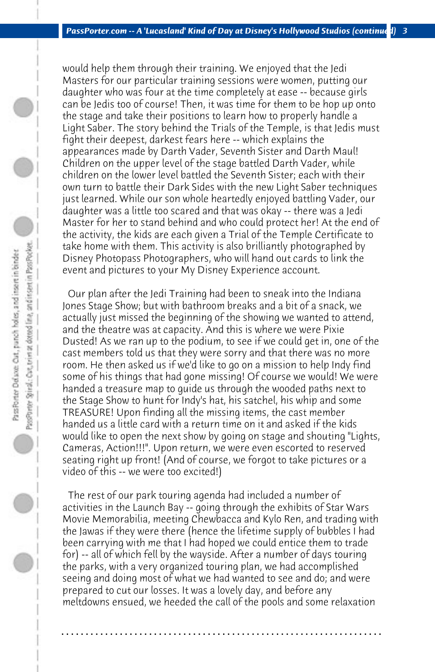would help them through their training. We enjoyed that the Jedi Masters for our particular training sessions were women, putting our daughter who was four at the time completely at ease -- because girls can be Jedis too of course! Then, it was time for them to be hop up onto the stage and take their positions to learn how to properly handle a Light Saber. The story behind the Trials of the Temple, is that Jedis must fight their deepest, darkest fears here -- which explains the appearances made by Darth Vader, Seventh Sister and Darth Maul! Children on the upper level of the stage battled Darth Vader, while children on the lower level battled the Seventh Sister; each with their own turn to battle their Dark Sides with the new Light Saber techniques just learned. While our son whole heartedly enjoyed battling Vader, our daughter was a little too scared and that was okay -- there was a Jedi Master for her to stand behind and who could protect her! At the end of the activity, the kids are each given a Trial of the Temple Certificate to take home with them. This activity is also brilliantly photographed by Disney Photopass Photographers, who will hand out cards to link the event and pictures to your My Disney Experience account.

 Our plan after the Jedi Training had been to sneak into the Indiana Jones Stage Show; but with bathroom breaks and a bit of a snack, we actually just missed the beginning of the showing we wanted to attend, and the theatre was at capacity. And this is where we were Pixie Dusted! As we ran up to the podium, to see if we could get in, one of the cast members told us that they were sorry and that there was no more room. He then asked us if we'd like to go on a mission to help Indy find some of his things that had gone missing! Of course we would! We were handed a treasure map to guide us through the wooded paths next to the Stage Show to hunt for Indy's hat, his satchel, his whip and some TREASURE! Upon finding all the missing items, the cast member handed us a little card with a return time on it and asked if the kids would like to open the next show by going on stage and shouting "Lights, Cameras, Action!!!". Upon return, we were even escorted to reserved seating right up front! (And of course, we forgot to take pictures or a video of this -- we were too excited!)

PassPorter Spiral: Car, trim at deteed line, and insert in Pass Pocket. Pass Porter Deluxe: Out, punch holes, and insert in binder

> The rest of our park touring agenda had included a number of activities in the Launch Bay -- going through the exhibits of Star Wars Movie Memorabilia, meeting Chewbacca and Kylo Ren, and trading with the Jawas if they were there (hence the lifetime supply of bubbles I had been carrying with me that I had hoped we could entice them to trade for) -- all of which fell by the wayside. After a number of days touring the parks, with a very organized touring plan, we had accomplished seeing and doing most of what we had wanted to see and do; and were prepared to cut our losses. It was a lovely day, and before any meltdowns ensued, we heeded the call of the pools and some relaxation

> **. . . . . . . . . . . . . . . . . . . . . . . . . . . . . . . . . . . . . . . . . . . . . . . . . . . . . . . . . . . . . . . . . .**